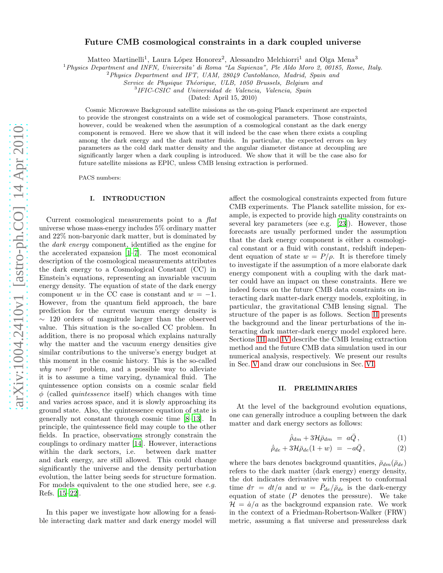# Future CMB cosmological constraints in a dark coupled universe

Matteo Martinelli<sup>1</sup>, Laura López Honorez<sup>2</sup>, Alessandro Melchiorri<sup>1</sup> and Olga Mena<sup>3</sup>

<sup>1</sup> Physics Department and INFN, Universita' di Roma "La Sapienza", Ple Aldo Moro 2, 00185, Rome, Italy.

<sup>2</sup>Physics Department and IFT, UAM, 28049 Cantoblanco, Madrid, Spain and

Service de Physique Théorique, ULB, 1050 Brussels, Belgium and

3 IFIC-CSIC and Universidad de Valencia, Valencia, Spain

(Dated: April 15, 2010)

Cosmic Microwave Background satellite missions as the on-going Planck experiment are expected to provide the strongest constraints on a wide set of cosmological parameters. Those constraints, however, could be weakened when the assumption of a cosmological constant as the dark energy component is removed. Here we show that it will indeed be the case when there exists a coupling among the dark energy and the dark matter fluids. In particular, the expected errors on key parameters as the cold dark matter density and the angular diameter distance at decoupling are significantly larger when a dark coupling is introduced. We show that it will be the case also for future satellite missions as EPIC, unless CMB lensing extraction is performed.

PACS numbers:

### I. INTRODUCTION

Current cosmological measurements point to a flat universe whose mass-energy includes 5% ordinary matter and 22% non-baryonic dark matter, but is dominated by the dark energy component, identified as the engine for the accelerated expansion [\[1](#page-5-0)[–7\]](#page-5-1). The most economical description of the cosmological measurements attributes the dark energy to a Cosmological Constant (CC) in Einstein's equations, representing an invariable vacuum energy density. The equation of state of the dark energy component w in the CC case is constant and  $w = -1$ . However, from the quantum field approach, the bare prediction for the current vacuum energy density is ∼ 120 orders of magnitude larger than the observed value. This situation is the so-called CC problem. In addition, there is no proposal which explains naturally why the matter and the vacuum energy densities give similar contributions to the universe's energy budget at this moment in the cosmic history. This is the so-called why now? problem, and a possible way to alleviate it is to assume a time varying, dynamical fluid. The quintessence option consists on a cosmic scalar field  $\phi$  (called *quintessence* itself) which changes with time and varies across space, and it is slowly approaching its ground state. Also, the quintessence equation of state is generally not constant through cosmic time [\[8–](#page-5-2)[13\]](#page-5-3). In principle, the quintessence field may couple to the other fields. In practice, observations strongly constrain the couplings to ordinary matter [\[14\]](#page-5-4). However, interactions within the dark sectors, i.e. between dark matter and dark energy, are still allowed. This could change significantly the universe and the density perturbation evolution, the latter being seeds for structure formation. For models equivalent to the one studied here, see e.g. Refs. [\[15](#page-5-5)[–22\]](#page-5-6).

In this paper we investigate how allowing for a feasible interacting dark matter and dark energy model will

affect the cosmological constraints expected from future CMB experiments. The Planck satellite mission, for example, is expected to provide high quality constraints on several key parameters (see e.g. [\[23](#page-5-7)]). However, those forecasts are usually performed under the assumption that the dark energy component is either a cosmological constant or a fluid with constant, redshift independent equation of state  $w = P/\rho$ . It is therefore timely to investigate if the assumption of a more elaborate dark energy component with a coupling with the dark matter could have an impact on these constraints. Here we indeed focus on the future CMB data constraints on interacting dark matter-dark energy models, exploiting, in particular, the gravitational CMB lensing signal. The structure of the paper is as follows. Section [II](#page-0-0) presents the background and the linear perturbations of the interacting dark matter-dark energy model explored here. Sections [III](#page-1-0) and [IV](#page-1-1) describe the CMB lensing extraction method and the future CMB data simulation used in our numerical analysis, respectively. We present our results in Sec. [V](#page-2-0) and draw our conclusions in Sec. [VI.](#page-4-0)

#### <span id="page-0-0"></span>II. PRELIMINARIES

At the level of the background evolution equations, one can generally introduce a coupling between the dark matter and dark energy sectors as follows:

<span id="page-0-1"></span>
$$
\dot{\bar{\rho}}_{dm} + 3\mathcal{H}\bar{\rho}_{dm} = a\bar{Q}, \qquad (1)
$$

$$
\dot{\bar{\rho}}_{de} + 3\mathcal{H}\bar{\rho}_{de}(1+w) = -a\bar{Q}, \qquad (2)
$$

where the bars denotes background quantities,  $\bar{\rho}_{dm}(\bar{\rho}_{de})$ refers to the dark matter (dark energy) energy density, the dot indicates derivative with respect to conformal time  $d\tau = dt/a$  and  $w = \bar{P}_{de}/\bar{\rho}_{de}$  is the dark-energy equation of state  $(P$  denotes the pressure). We take  $\mathcal{H} = \dot{a}/a$  as the background expansion rate. We work in the context of a Friedman-Robertson-Walker (FRW) metric, assuming a flat universe and pressureless dark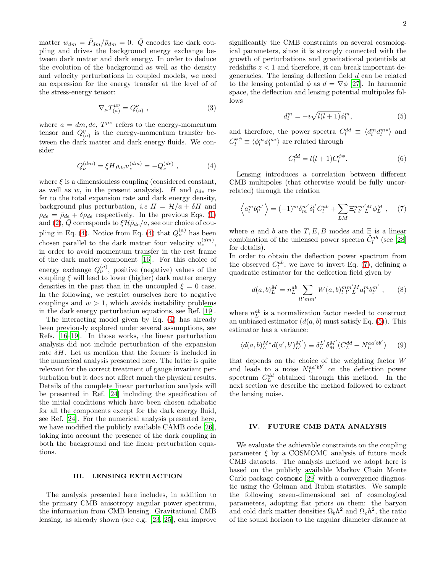matter  $w_{dm} = \bar{P}_{dm}/\bar{\rho}_{dm} = 0$ .  $\bar{Q}$  encodes the dark coupling and drives the background energy exchange between dark matter and dark energy. In order to deduce the evolution of the background as well as the density and velocity perturbations in coupled models, we need an expression for the energy transfer at the level of of the stress-energy tensor:

$$
\nabla_{\mu} T_{(a)}^{\mu\nu} = Q_{(a)}^{\nu} , \qquad (3)
$$

where  $a = dm$ ,  $de$ ,  $T^{\mu\nu}$  refers to the energy-momentum tensor and  $Q_{(a)}^{\nu}$  is the energy-momentum transfer between the dark matter and dark energy fluids. We consider

<span id="page-1-2"></span>
$$
Q_{\nu}^{(dm)} = \xi H \rho_{de} u_{\nu}^{(dm)} = -Q_{\nu}^{(de)} , \qquad (4)
$$

where  $\xi$  is a dimensionless coupling (considered constant, as well as w, in the present analysis). H and  $\rho_{de}$  refer to the total expansion rate and dark energy density, background plus perturbation, *i.e H* =  $\mathcal{H}/a + \delta H$  and  $\rho_{de} = \bar{\rho}_{de} + \delta \rho_{de}$  respectively. In the previous Eqs. [\(1\)](#page-0-1) and [\(2\)](#page-0-1),  $\bar{Q}$  corresponds to  $\xi \mathcal{H} \bar{\rho}_{de}/a$ , see our choice of cou-pling in Eq. [\(4\)](#page-1-2). Notice from Eq. (4) that  $Q_{\nu}^{(a)}$  has been chosen parallel to the dark matter four velocity  $u_{\nu}^{(dm)}$ , in order to avoid momentum transfer in the rest frame of the dark matter component [\[16\]](#page-5-8). For this choice of energy exchange  $Q_{\nu}^{(a)}$ , positive (negative) values of the coupling  $\xi$  will lead to lower (higher) dark matter energy densities in the past than in the uncoupled  $\xi = 0$  case. In the following, we restrict ourselves here to negative couplings and  $w > 1$ , which avoids instability problems in the dark energy perturbation equations, see Ref. [\[19](#page-5-9)].

The interacting model given by Eq. [\(4\)](#page-1-2) has already been previously explored under several assumptions, see Refs. [\[16](#page-5-8)[–19\]](#page-5-9). In those works, the linear perturbation analysis did not include perturbation of the expansion rate  $\delta H$ . Let us mention that the former is included in the numerical analysis presented here. The latter is quite relevant for the correct treatment of gauge invariant perturbation but it does not affect much the physical results. Details of the complete linear perturbation analysis will be presented in Ref. [\[24\]](#page-5-10) including the specification of the initial conditions which have been chosen adiabatic for all the components except for the dark energy fluid, see Ref. [\[24](#page-5-10)]. For the numerical analysis presented here, we have modified the publicly available CAMB code [\[26\]](#page-5-11), taking into account the presence of the dark coupling in both the background and the linear perturbation equations.

## <span id="page-1-0"></span>III. LENSING EXTRACTION

The analysis presented here includes, in addition to the primary CMB anisotropy angular power spectrum, the information from CMB lensing. Gravitational CMB lensing, as already shown (see e.g. [\[23,](#page-5-7) [25\]](#page-5-12), can improve significantly the CMB constraints on several cosmological parameters, since it is strongly connected with the growth of perturbations and gravitational potentials at redshifts  $z < 1$  and therefore, it can break important degeneracies. The lensing deflection field d can be related to the lensing potential  $\phi$  as  $d = \nabla \phi$  [\[27](#page-5-13)]. In harmonic space, the deflection and lensing potential multipoles follows

<span id="page-1-4"></span>
$$
d_l^m = -i\sqrt{l(l+1)}\phi_l^m,\tag{5}
$$

and therefore, the power spectra  $C_l^{dd} \equiv \langle d_l^m d_l^{m*} \rangle$  and  $C^{\phi \phi}_l \equiv \langle \phi^m_l \phi^{m*}_l \rangle$  are related through

$$
C_l^{dd} = l(l+1)C_l^{\phi\phi}.
$$
\n(6)

Lensing introduces a correlation between different CMB multipoles (that otherwise would be fully uncorrelated) through the relation

<span id="page-1-3"></span>
$$
\left\langle a_l^m b_{l'}^{m'} \right\rangle = (-1)^m \delta_m^{m'} \delta_l^{l'} C_l^{ab} + \sum_{LM} \Xi_{l' l'}^{mm'M} \phi_L^M , \quad (7)
$$

where a and b are the T, E, B modes and  $\Xi$  is a linear combination of the unlensed power spectra  $\tilde{C}^{ab}_l$  (see [\[28](#page-5-14)] for details).

In order to obtain the deflection power spectrum from the observed  $C_l^{ab}$ , we have to invert Eq. [\(7\)](#page-1-3), defining a quadratic estimator for the deflection field given by

<span id="page-1-5"></span>
$$
d(a,b)^M_L = n_L^{ab} \sum_{ll'mm'} W(a,b)^{mm'M}_{l'l'} a^m_l b^{m'}_{l'}, \qquad (8)
$$

where  $n_L^{ab}$  is a normalization factor needed to construct an unbiased estimator  $(d(a, b)$  must satisfy Eq. [\(5\)](#page-1-4)). This estimator has a variance:

$$
\langle d(a,b)_L^{M*} d(a',b')_L^{M'} \rangle \equiv \delta_L^{L'} \delta_M^{M'} (C_L^{dd} + N_L^{aa'bb'}) \qquad (9)
$$

that depends on the choice of the weighting factor W and leads to a noise  $N_L^{aa'bb'}$  on the deflection power spectrum  $C_L^{dd}$  obtained through this method. In the next section we describe the method followed to extract the lensing noise.

### <span id="page-1-1"></span>IV. FUTURE CMB DATA ANALYSIS

We evaluate the achievable constraints on the coupling parameter  $\xi$  by a COSMOMC analysis of future mock CMB datasets. The analysis method we adopt here is based on the publicly available Markov Chain Monte Carlo package cosmomc [\[29\]](#page-5-15) with a convergence diagnostic using the Gelman and Rubin statistics. We sample the following seven-dimensional set of cosmological parameters, adopting flat priors on them: the baryon and cold dark matter densities  $\Omega_b h^2$  and  $\Omega_c h^2$ , the ratio of the sound horizon to the angular diameter distance at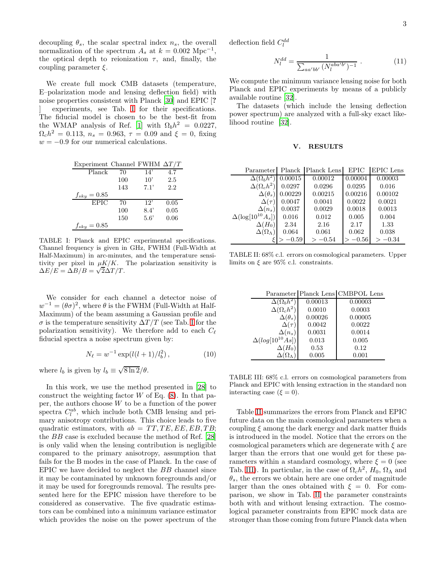decoupling  $\theta_s$ , the scalar spectral index  $n_s$ , the overall normalization of the spectrum  $A_s$  at  $k = 0.002$  Mpc<sup>-1</sup>, the optical depth to reionization  $\tau$ , and, finally, the coupling parameter  $\xi$ .

We create full mock CMB datasets (temperature, E–polarization mode and lensing deflection field) with noise properties consistent with Planck [\[30\]](#page-5-16) and EPIC [? experiments, see Tab. [I](#page-2-1) for their specifications. The fiducial model is chosen to be the best-fit from the WMAP analysis of Ref. [\[1\]](#page-5-0) with  $\Omega_b h^2 = 0.0227$ ,  $\Omega_c h^2 = 0.113$ ,  $n_s = 0.963$ ,  $\tau = 0.09$  and  $\xi = 0$ , fixing  $w = -0.9$  for our numerical calculations.

| Experiment Channel FWHM $\Delta T/T$ |     |               |      |
|--------------------------------------|-----|---------------|------|
| Planck                               | 70  | 14'           | 4.7  |
|                                      | 100 | 10'           | 2.5  |
|                                      | 143 | 7.1'          | 2.2  |
| $f_{sky} = 0.85$                     |     |               |      |
| <b>EPIC</b>                          | 70  | 12'           | 0.05 |
|                                      | 100 | 8.4'          | 0.05 |
|                                      | 150 | $5.6^{\circ}$ | 0.06 |
| $f_{sky} = 0.85$                     |     |               |      |

<span id="page-2-1"></span>TABLE I: Planck and EPIC experimental specifications. Channel frequency is given in GHz, FWHM (Full-Width at Half-Maximum) in arc-minutes, and the temperature sensitivity per pixel in  $\mu K/K$ . The polarization sensitivity is  $\Delta E / E = \Delta B / B = \sqrt{2} \Delta T / T.$ 

We consider for each channel a detector noise of  $w^{-1} = (\theta \sigma)^2$ , where  $\theta$  is the FWHM (Full-Width at Half-Maximum) of the beam assuming a Gaussian profile and  $\sigma$  is the temperature sensitivity  $\Delta T/T$  (see Tab. [I](#page-2-1) for the polarization sensitivity). We therefore add to each  $C_{\ell}$ fiducial spectra a noise spectrum given by:

$$
N_{\ell} = w^{-1} \exp(l(l+1)/l_b^2), \qquad (10)
$$

where  $l_b$  is given by  $l_b \equiv \sqrt{8 \ln 2}/\theta$ .

In this work, we use the method presented in [\[28\]](#page-5-14) to construct the weighting factor  $W$  of Eq. [\(8\)](#page-1-5). In that paper, the authors choose  $W$  to be a function of the power spectra  $C_l^{ab}$ , which include both CMB lensing and primary anisotropy contributions. This choice leads to five quadratic estimators, with  $ab = TT, TE, EE, EB, TB;$ the BB case is excluded because the method of Ref. [\[28](#page-5-14)] is only valid when the lensing contribution is negligible compared to the primary anisotropy, assumption that fails for the B modes in the case of Planck. In the case of EPIC we have decided to neglect the BB channel since it may be contaminated by unknown foregrounds and/or it may be used for foregrounds removal. The results presented here for the EPIC mission have therefore to be considered as conservative. The five quadratic estimators can be combined into a minimum variance estimator which provides the noise on the power spectrum of the deflection field  $C_l^{dd}$ 

$$
N_l^{dd} = \frac{1}{\sum_{aa'bb'} (N_l^{aba'b'})^{-1}} \ . \tag{11}
$$

We compute the minimum variance lensing noise for both Planck and EPIC experiments by means of a publicly available routine [\[32\]](#page-5-17).

The datasets (which include the lensing deflection power spectrum) are analyzed with a full-sky exact likelihood routine [\[32\]](#page-5-17).

### <span id="page-2-0"></span>V. RESULTS

| Parameter                  | Planck    | Planck Lens | <b>EPIC</b> | <b>EPIC</b> Lens |
|----------------------------|-----------|-------------|-------------|------------------|
| $\Delta(\Omega_b h^2)$     | 0.00015   | 0.00012     | 0.00004     | 0.00003          |
| $\Delta(\Omega_c h^2)$     | 0.0297    | 0.0296      | 0.0295      | 0.016            |
| $\Delta(\theta_s)$         | 0.00229   | 0.00215     | 0.00216     | 0.00102          |
| $\Delta(\tau)$             | 0.0047    | 0.0041      | 0.0022      | 0.0021           |
| $\Delta(n_s)$              | 0.0037    | 0.0029      | 0.0018      | 0.0013           |
| $\Delta(\log[10^{10}A_s])$ | 0.016     | 0.012       | 0.005       | 0.004            |
| $\Delta(H_0)$              | 2.34      | 2.16        | 2.17        | 1.33             |
| $\Delta(\Omega_\Lambda)$   | 0.064     | 0.061       | 0.062       | 0.038            |
|                            | $-0.59\,$ | $>-0.54$    | $>-0.56$    | $>-0.34$         |
|                            |           |             |             |                  |

TABLE II: 68% c.l. errors on cosmological parameters. Upper limits on  $\xi$  are 95% c.l. constraints.

<span id="page-2-2"></span>

|                          |         | Parameter Planck Lens CMBPOL Lens |
|--------------------------|---------|-----------------------------------|
| $\Delta(\Omega_b h^2)$   | 0.00013 | 0.00003                           |
| $\Delta(\Omega_c h^2)$   | 0.0010  | 0.0003                            |
| $\Delta(\theta_s)$       | 0.00026 | 0.00005                           |
| $\Delta(\tau)$           | 0.0042  | 0.0022                            |
| $\Delta(n_s)$            | 0.0031  | 0.0014                            |
| $\Delta(log[10^{10}As])$ | 0.013   | 0.005                             |
| $\Delta(H_0)$            | 0.53    | 0.12                              |
|                          | 0.005   | 0.001                             |

<span id="page-2-3"></span>TABLE III: 68% c.l. errors on cosmological parameters from Planck and EPIC with lensing extraction in the standard non interacting case ( $\xi = 0$ ).

Table [II](#page-2-2) summarizes the errors from Planck and EPIC future data on the main cosmological parameters when a coupling  $\xi$  among the dark energy and dark matter fluids is introduced in the model. Notice that the errors on the cosmological parameters which are degenerate with  $\xi$  are larger than the errors that one would get for these parameters within a standard cosmology, where  $\xi = 0$  (see Tab. [III\)](#page-2-3). In particular, in the case of  $\Omega_c h^2$ ,  $H_0$ ,  $\Omega_{\Lambda}$  and  $\theta_s$ , the errors we obtain here are one order of magnitude larger than the ones obtained with  $\xi = 0$ . For comparison, we show in Tab. [II](#page-2-2) the parameter constraints both with and without lensing extraction. The cosmological parameter constraints from EPIC mock data are stronger than those coming from future Planck data when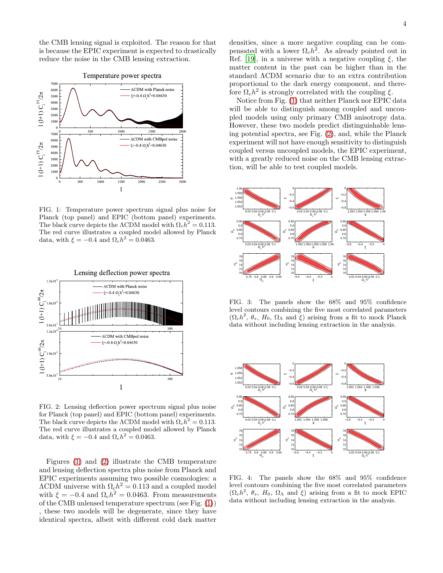the CMB lensing signal is exploited. The reason for that is because the EPIC experiment is expected to drastically reduce the noise in the CMB lensing extraction.



<span id="page-3-0"></span>FIG. 1: Temperature power spectrum signal plus noise for Planck (top panel) and EPIC (bottom panel) experiments. The black curve depicts the  $\Lambda$ CDM model with  $\Omega_c h^2 = 0.113$ . The red curve illustrates a coupled model allowed by Planck data, with  $\xi = -0.4$  and  $\Omega_c h^2 = 0.0463$ .



<span id="page-3-1"></span>FIG. 2: Lensing deflection power spectrum signal plus noise for Planck (top panel) and EPIC (bottom panel) experiments. The black curve depicts the  $\Lambda$ CDM model with  $\Omega_c h^2 = 0.113$ . The red curve illustrates a coupled model allowed by Planck data, with  $\xi = -0.4$  and  $\Omega_c h^2 = 0.0463$ .

Figures [\(1\)](#page-3-0) and [\(2\)](#page-3-1) illustrate the CMB temperature and lensing deflection spectra plus noise from Planck and EPIC experiments assuming two possible cosmologies: a  $\Lambda$ CDM universe with  $\Omega_c h^2 = 0.113$  and a coupled model with  $\xi = -0.4$  and  $\Omega_c h^2 = 0.0463$ . From measurements of the CMB unlensed temperature spectrum (see Fig. [\(1\)](#page-3-0)) , these two models will be degenerate, since they have identical spectra, albeit with different cold dark matter

densities, since a more negative coupling can be compensated with a lower  $\Omega_c h^2$ . As already pointed out in Ref. [\[19\]](#page-5-9), in a universe with a negative coupling  $\xi$ , the matter content in the past can be higher than in the standard ΛCDM scenario due to an extra contribution proportional to the dark energy component, and therefore  $\Omega_c h^2$  is strongly correlated with the coupling  $\xi$ .

Notice from Fig. [\(1\)](#page-3-0) that neither Planck nor EPIC data will be able to distinguish among coupled and uncoupled models using only primary CMB anisotropy data. However, these two models predict distinguishable lensing potential spectra, see Fig. [\(2\)](#page-3-1), and, while the Planck experiment will not have enough sensitivity to distinguish coupled versus uncoupled models, the EPIC experiment, with a greatly reduced noise on the CMB lensing extraction, will be able to test coupled models.



<span id="page-3-2"></span>FIG. 3: The panels show the 68% and 95% confidence level contours combining the five most correlated parameters  $(\Omega_c h^2, \theta_s, H_0, \Omega_\Lambda \text{ and } \xi)$  arising from a fit to mock Planck data without including lensing extraction in the analysis.



<span id="page-3-3"></span>FIG. 4: The panels show the 68% and 95% confidence level contours combining the five most correlated parameters  $(\Omega_c h^2, \theta_s, H_0, \Omega_\Lambda \text{ and } \xi)$  arising from a fit to mock EPIC data without including lensing extraction in the analysis.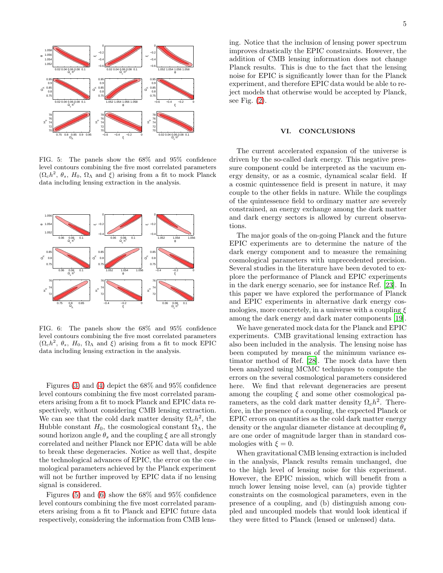

<span id="page-4-1"></span>FIG. 5: The panels show the 68% and 95% confidence level contours combining the five most correlated parameters  $(\Omega_c h^2, \theta_s, H_0, \Omega_\Lambda \text{ and } \xi)$  arising from a fit to mock Planck data including lensing extraction in the analysis.



<span id="page-4-2"></span>FIG. 6: The panels show the 68% and 95% confidence level contours combining the five most correlated parameters  $(\Omega_c h^2, \theta_s, H_0, \Omega_\Lambda \text{ and } \xi)$  arising from a fit to mock EPIC data including lensing extraction in the analysis.

Figures [\(3\)](#page-3-2) and [\(4\)](#page-3-3) depict the 68% and 95% confidence level contours combining the five most correlated parameters arising from a fit to mock Planck and EPIC data respectively, without considering CMB lensing extraction. We can see that the cold dark matter density  $\Omega_c h^2$ , the Hubble constant  $H_0$ , the cosmological constant  $\Omega_{\Lambda}$ , the sound horizon angle  $\theta_s$  and the coupling  $\xi$  are all strongly correlated and neither Planck nor EPIC data will be able to break these degeneracies. Notice as well that, despite the technological advances of EPIC, the error on the cosmological parameters achieved by the Planck experiment will not be further improved by EPIC data if no lensing signal is considered.

Figures [\(5\)](#page-4-1) and [\(6\)](#page-4-2) show the  $68\%$  and  $95\%$  confidence level contours combining the five most correlated parameters arising from a fit to Planck and EPIC future data respectively, considering the information from CMB lensing. Notice that the inclusion of lensing power spectrum improves drastically the EPIC constraints. However, the addition of CMB lensing information does not change Planck results. This is due to the fact that the lensing noise for EPIC is significantly lower than for the Planck experiment, and therefore EPIC data would be able to reject models that otherwise would be accepted by Planck, see Fig. [\(2\)](#page-3-1).

#### <span id="page-4-0"></span>VI. CONCLUSIONS

The current accelerated expansion of the universe is driven by the so-called dark energy. This negative pressure component could be interpreted as the vacuum energy density, or as a cosmic, dynamical scalar field. If a cosmic quintessence field is present in nature, it may couple to the other fields in nature. While the couplings of the quintessence field to ordinary matter are severely constrained, an energy exchange among the dark matter and dark energy sectors is allowed by current observations.

The major goals of the on-going Planck and the future EPIC experiments are to determine the nature of the dark energy component and to measure the remaining cosmological parameters with unprecedented precision. Several studies in the literature have been devoted to explore the performance of Planck and EPIC experiments in the dark energy scenario, see for instance Ref. [\[23](#page-5-7)]. In this paper we have explored the performance of Planck and EPIC experiments in alternative dark energy cosmologies, more concretely, in a universe with a coupling  $\xi$ among the dark energy and dark mater components [\[19\]](#page-5-9).

We have generated mock data for the Planck and EPIC experiments. CMB gravitational lensing extraction has also been included in the analysis. The lensing noise has been computed by means of the minimum variance estimator method of Ref. [\[28\]](#page-5-14). The mock data have then been analyzed using MCMC techniques to compute the errors on the several cosmological parameters considered here. We find that relevant degeneracies are present among the coupling  $\xi$  and some other cosmological parameters, as the cold dark matter density  $\Omega_c h^2$ . Therefore, in the presence of a coupling, the expected Planck or EPIC errors on quantities as the cold dark matter energy density or the angular diameter distance at decoupling  $\theta_s$ are one order of magnitude larger than in standard cosmologies with  $\xi = 0$ .

When gravitational CMB lensing extraction is included in the analysis, Planck results remain unchanged, due to the high level of lensing noise for this experiment. However, the EPIC mission, which will benefit from a much lower lensing noise level, can (a) provide tighter constraints on the cosmological parameters, even in the presence of a coupling, and (b) distinguish among coupled and uncoupled models that would look identical if they were fitted to Planck (lensed or unlensed) data.